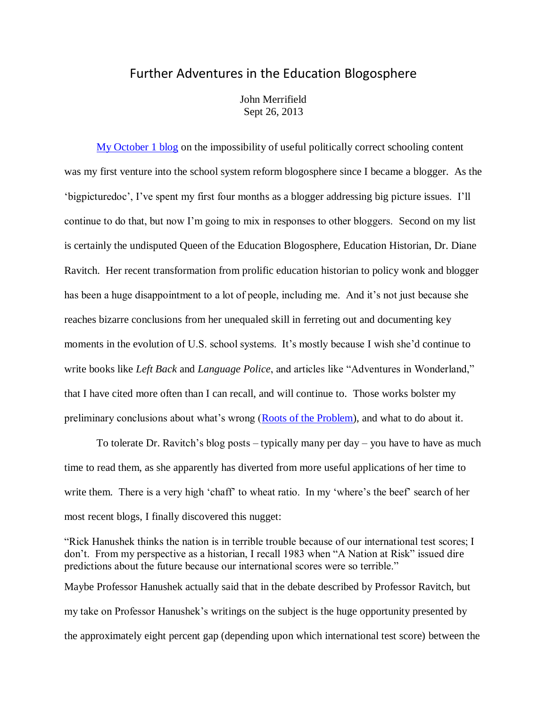## Further Adventures in the Education Blogosphere

John Merrifield Sept 26, 2013

[My October 1 blog](http://www.schoolsystemreformstudies.net/wp-content/uploads/2016/11/Impossibility-of-a-Worthwhile-Curriculum.pdf) on the impossibility of useful politically correct schooling content was my first venture into the school system reform blogosphere since I became a blogger. As the 'bigpicturedoc', I've spent my first four months as a blogger addressing big picture issues. I'll continue to do that, but now I'm going to mix in responses to other bloggers. Second on my list is certainly the undisputed Queen of the Education Blogosphere, Education Historian, Dr. Diane Ravitch. Her recent transformation from prolific education historian to policy wonk and blogger has been a huge disappointment to a lot of people, including me. And it's not just because she reaches bizarre conclusions from her unequaled skill in ferreting out and documenting key moments in the evolution of U.S. school systems. It's mostly because I wish she'd continue to write books like *Left Back* and *Language Police*, and articles like "Adventures in Wonderland," that I have cited more often than I can recall, and will continue to. Those works bolster my preliminary conclusions about what's wrong [\(Roots of the Problem\)](http://nebula.wsimg.com/de7a505e69a5da1955afc3fa273fe806?AccessKeyId=DA21FC8554A675E9CF7B&disposition=0&alloworigin=1), and what to do about it.

To tolerate Dr. Ravitch's blog posts – typically many per day – you have to have as much time to read them, as she apparently has diverted from more useful applications of her time to write them. There is a very high 'chaff' to wheat ratio. In my 'where's the beef' search of her most recent blogs, I finally discovered this nugget:

"Rick Hanushek thinks the nation is in terrible trouble because of our international test scores; I don't. From my perspective as a historian, I recall 1983 when "A Nation at Risk" issued dire predictions about the future because our international scores were so terrible." Maybe Professor Hanushek actually said that in the debate described by Professor Ravitch, but my take on Professor Hanushek's writings on the subject is the huge opportunity presented by the approximately eight percent gap (depending upon which international test score) between the